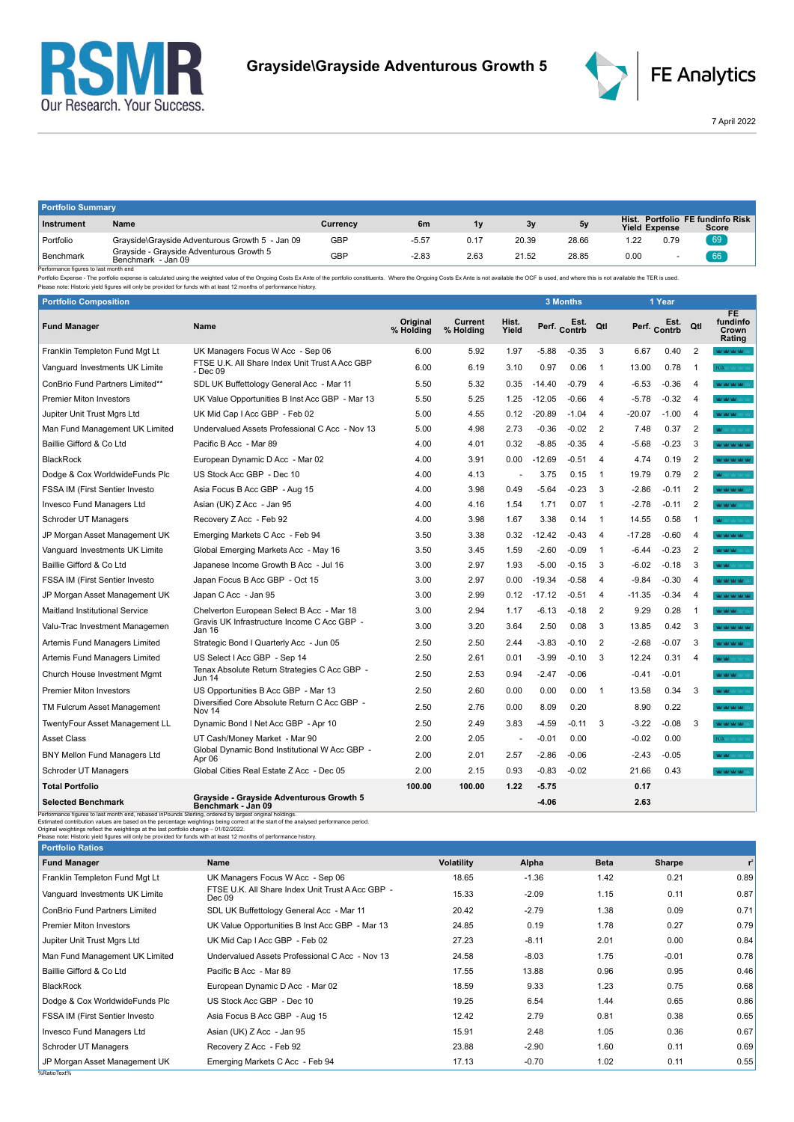



FE Analytics

7 April 2022

| <b>Portfolio Summary</b> |                                                                |          |         |      |       |       |      |                      |                                           |
|--------------------------|----------------------------------------------------------------|----------|---------|------|-------|-------|------|----------------------|-------------------------------------------|
| Instrument               | Name                                                           | Currency | 6m      | 1v   | 3y    | 5v    |      | <b>Yield Expense</b> | Hist. Portfolio FE fundinfo Risk<br>Score |
| Portfolio                | Grayside\Grayside Adventurous Growth 5 - Jan 09                | GBP      | $-5.57$ | 0.17 | 20.39 | 28.66 | 1.22 | 0.79                 | 69                                        |
| Benchmark<br>.           | Gravside - Gravside Adventurous Growth 5<br>Benchmark - Jan 09 | GBP      | $-2.83$ | 2.63 | 21.52 | 28.85 | 0.00 |                      | 66                                        |

Benchmark Benchmark Benchmark - Jan 09<br>- Performance figures is last month end<br>- Performance figures is alst month end benchmark - Jan 09<br>- Please note: Historic yield figures will only be provided for funds with at least

| <b>Portfolio Composition</b>           |                                                                |                       |                      |                |          | 3 Months             |                |          | 1 Year               |                |                                          |
|----------------------------------------|----------------------------------------------------------------|-----------------------|----------------------|----------------|----------|----------------------|----------------|----------|----------------------|----------------|------------------------------------------|
| <b>Fund Manager</b>                    | Name                                                           | Original<br>% Holding | Current<br>% Holding | Hist.<br>Yield |          | Est.<br>Perf. Contrb | Qtl            |          | Est.<br>Perf. Contrb | Qtl            | <b>FE</b><br>fundinfo<br>Crown<br>Rating |
| Franklin Templeton Fund Mgt Lt         | UK Managers Focus W Acc - Sep 06                               | 6.00                  | 5.92                 | 1.97           | $-5.88$  | $-0.35$              | 3              | 6.67     | 0.40                 | 2              | <b>WAS NOT WARRANT</b>                   |
| Vanguard Investments UK Limite         | FTSE U.K. All Share Index Unit Trust A Acc GBP<br>- Dec 09     | 6.00                  | 6.19                 | 3.10           | 0.97     | 0.06                 | $\overline{1}$ | 13.00    | 0.78                 | $\overline{1}$ | N/A or some set                          |
| <b>ConBrio Fund Partners Limited**</b> | SDL UK Buffettology General Acc - Mar 11                       | 5.50                  | 5.32                 | 0.35           | $-14.40$ | $-0.79$              | $\overline{4}$ | $-6.53$  | $-0.36$              | 4              | <b>MOTOR MOTOR</b>                       |
| <b>Premier Miton Investors</b>         | UK Value Opportunities B Inst Acc GBP - Mar 13                 | 5.50                  | 5.25                 | 1.25           | $-12.05$ | $-0.66$              | 4              | $-5.78$  | $-0.32$              | $\overline{4}$ | <b>WAY MAY MAY</b>                       |
| Jupiter Unit Trust Mgrs Ltd            | UK Mid Cap I Acc GBP - Feb 02                                  | 5.00                  | 4.55                 | 0.12           | $-20.89$ | $-1.04$              | $\overline{4}$ | $-20.07$ | $-1.00$              | 4              | MOMOR MAY                                |
| Man Fund Management UK Limited         | Undervalued Assets Professional C Acc - Nov 13                 | 5.00                  | 4.98                 | 2.73           | $-0.36$  | $-0.02$              | $\overline{2}$ | 7.48     | 0.37                 | 2              | Mar. 1                                   |
| Baillie Gifford & Co Ltd               | Pacific B Acc - Mar 89                                         | 4.00                  | 4.01                 | 0.32           | $-8.85$  | $-0.35$              | $\overline{4}$ | $-5.68$  | $-0.23$              | 3              | <b>WAS WARREN</b>                        |
| <b>BlackRock</b>                       | European Dynamic D Acc - Mar 02                                | 4.00                  | 3.91                 | 0.00           | $-12.69$ | $-0.51$              | $\overline{4}$ | 4.74     | 0.19                 | $\overline{2}$ | <b>WORK WORK WAS</b>                     |
| Dodge & Cox WorldwideFunds Plc         | US Stock Acc GBP - Dec 10                                      | 4.00                  | 4.13                 | ÷,             | 3.75     | 0.15                 | $\overline{1}$ | 19.79    | 0.79                 | 2              |                                          |
| <b>FSSA IM (First Sentier Investo</b>  | Asia Focus B Acc GBP - Aug 15                                  | 4.00                  | 3.98                 | 0.49           | $-5.64$  | $-0.23$              | 3              | -2.86    | $-0.11$              | 2              | MOMORATION                               |
| <b>Invesco Fund Managers Ltd</b>       | Asian (UK) Z Acc - Jan 95                                      | 4.00                  | 4.16                 | 1.54           | 1.71     | 0.07                 | $\overline{1}$ | -2.78    | $-0.11$              | 2              | WWW.                                     |
| Schroder UT Managers                   | Recovery Z Acc - Feb 92                                        | 4.00                  | 3.98                 | 1.67           | 3.38     | 0.14                 | $\overline{1}$ | 14.55    | 0.58                 |                | <b>MAY</b> MAY VAY VAY V                 |
| JP Morgan Asset Management UK          | Emerging Markets C Acc - Feb 94                                | 3.50                  | 3.38                 | 0.32           | $-12.42$ | $-0.43$              | $\overline{4}$ | $-17.28$ | $-0.60$              | 4              | <b>WORK WAS TRACT</b>                    |
| Vanguard Investments UK Limite         | Global Emerging Markets Acc - May 16                           | 3.50                  | 3.45                 | 1.59           | $-2.60$  | $-0.09$              | $\overline{1}$ | $-6.44$  | $-0.23$              | $\overline{2}$ | <b>WAY MAY YAY</b>                       |
| Baillie Gifford & Co Ltd               | Japanese Income Growth B Acc - Jul 16                          | 3.00                  | 2.97                 | 1.93           | $-5.00$  | $-0.15$              | 3              | $-6.02$  | $-0.18$              | 3              | <b>WARNER</b>                            |
| <b>FSSA IM (First Sentier Investo</b>  | Japan Focus B Acc GBP - Oct 15                                 | 3.00                  | 2.97                 | 0.00           | $-19.34$ | $-0.58$              | $\overline{4}$ | $-9.84$  | $-0.30$              | $\overline{4}$ | <b>ALCOHOL AND ARR</b>                   |
| JP Morgan Asset Management UK          | Japan C Acc - Jan 95                                           | 3.00                  | 2.99                 | 0.12           | $-17.12$ | $-0.51$              | $\overline{4}$ | $-11.35$ | $-0.34$              | $\overline{4}$ | <b>WAS MY MY MY</b>                      |
| <b>Maitland Institutional Service</b>  | Chelverton European Select B Acc - Mar 18                      | 3.00                  | 2.94                 | 1.17           | $-6.13$  | $-0.18$              | 2              | 9.29     | 0.28                 | $\mathbf{1}$   | <b>WASHI</b>                             |
| Valu-Trac Investment Managemen         | Gravis UK Infrastructure Income C Acc GBP -<br>Jan 16          | 3.00                  | 3.20                 | 3.64           | 2.50     | 0.08                 | 3              | 13.85    | 0.42                 | 3              | Mar Mar Mar Mar Mar                      |
| Artemis Fund Managers Limited          | Strategic Bond I Quarterly Acc - Jun 05                        | 2.50                  | 2.50                 | 2.44           | $-3.83$  | $-0.10$              | $\overline{2}$ | $-2.68$  | $-0.07$              | 3              | MOMORATION CONTINUES.                    |
| Artemis Fund Managers Limited          | US Select I Acc GBP - Sep 14                                   | 2.50                  | 2.61                 | 0.01           | $-3.99$  | $-0.10$              | 3              | 12.24    | 0.31                 | 4              | <b>WAY MAY</b>                           |
| Church House Investment Mgmt           | Tenax Absolute Return Strategies C Acc GBP -<br><b>Jun 14</b>  | 2.50                  | 2.53                 | 0.94           | $-2.47$  | $-0.06$              |                | $-0.41$  | $-0.01$              |                | MOMORATION                               |
| <b>Premier Miton Investors</b>         | US Opportunities B Acc GBP - Mar 13                            | 2.50                  | 2.60                 | 0.00           | 0.00     | 0.00                 | $\overline{1}$ | 13.58    | 0.34                 | 3              | MOM :                                    |
| TM Fulcrum Asset Management            | Diversified Core Absolute Return C Acc GBP -<br>Nov 14         | 2.50                  | 2.76                 | 0.00           | 8.09     | 0.20                 |                | 8.90     | 0.22                 |                | <b>MOTOR MOTOR</b>                       |
| TwentyFour Asset Management LL         | Dynamic Bond I Net Acc GBP - Apr 10                            | 2.50                  | 2.49                 | 3.83           | $-4.59$  | $-0.11$              | 3              | $-3.22$  | $-0.08$              | 3              | <b>WAS NOT WORK IN</b>                   |
| <b>Asset Class</b>                     | UT Cash/Money Market - Mar 90                                  | 2.00                  | 2.05                 |                | $-0.01$  | 0.00                 |                | $-0.02$  | 0.00                 |                | N/A or some as                           |
| <b>BNY Mellon Fund Managers Ltd</b>    | Global Dynamic Bond Institutional W Acc GBP -<br>Apr 06        | 2.00                  | 2.01                 | 2.57           | $-2.86$  | $-0.06$              |                | $-2.43$  | $-0.05$              |                | MOM :                                    |
| Schroder UT Managers                   | Global Cities Real Estate Z Acc - Dec 05                       | 2.00                  | 2.15                 | 0.93           | $-0.83$  | $-0.02$              |                | 21.66    | 0.43                 |                | <b>NATION WITHOUT</b>                    |
| <b>Total Portfolio</b>                 |                                                                | 100.00                | 100.00               | 1.22           | $-5.75$  |                      |                | 0.17     |                      |                |                                          |
| <b>Selected Benchmark</b>              | Grayside - Grayside Adventurous Growth 5<br>Benchmark - Jan 09 |                       |                      |                | $-4.06$  |                      |                | 2.63     |                      |                |                                          |

Selected Benchmark Grayside - Grayside Adventurous Growth 5<br>
Performance figures to last month end, rebased inPounds Sterling, ordered by largest original holdings.<br>
Estimated contribution values are based on the percentag

| <b>Portfolio Ratios</b>              |                                                            |                   |         |             |         |       |
|--------------------------------------|------------------------------------------------------------|-------------------|---------|-------------|---------|-------|
| <b>Fund Manager</b>                  | Name                                                       | <b>Volatility</b> | Alpha   | <b>Beta</b> | Sharpe  | $r^2$ |
| Franklin Templeton Fund Mgt Lt       | UK Managers Focus W Acc - Sep 06                           | 18.65             | $-1.36$ | 1.42        | 0.21    | 0.89  |
| Vanguard Investments UK Limite       | FTSE U.K. All Share Index Unit Trust A Acc GBP -<br>Dec 09 | 15.33             | $-2.09$ | 1.15        | 0.11    | 0.87  |
| <b>ConBrio Fund Partners Limited</b> | SDL UK Buffettology General Acc - Mar 11                   | 20.42             | $-2.79$ | 1.38        | 0.09    | 0.71  |
| <b>Premier Miton Investors</b>       | UK Value Opportunities B Inst Acc GBP - Mar 13             | 24.85             | 0.19    | 1.78        | 0.27    | 0.79  |
| Jupiter Unit Trust Mgrs Ltd          | UK Mid Cap I Acc GBP - Feb 02                              | 27.23             | $-8.11$ | 2.01        | 0.00    | 0.84  |
| Man Fund Management UK Limited       | Undervalued Assets Professional C Acc - Nov 13             | 24.58             | $-8.03$ | 1.75        | $-0.01$ | 0.78  |
| Baillie Gifford & Co Ltd             | Pacific B Acc - Mar 89                                     | 17.55             | 13.88   | 0.96        | 0.95    | 0.46  |
| BlackRock                            | European Dynamic D Acc - Mar 02                            | 18.59             | 9.33    | 1.23        | 0.75    | 0.68  |
| Dodge & Cox WorldwideFunds Plc       | US Stock Acc GBP - Dec 10                                  | 19.25             | 6.54    | 1.44        | 0.65    | 0.86  |
| FSSA IM (First Sentier Investo       | Asia Focus B Acc GBP - Aug 15                              | 12.42             | 2.79    | 0.81        | 0.38    | 0.65  |
| Invesco Fund Managers Ltd            | Asian (UK) Z Acc - Jan 95                                  | 15.91             | 2.48    | 1.05        | 0.36    | 0.67  |
| Schroder UT Managers                 | Recovery Z Acc - Feb 92                                    | 23.88             | $-2.90$ | 1.60        | 0.11    | 0.69  |
| JP Morgan Asset Management UK        | Emerging Markets C Acc - Feb 94                            | 17.13             | $-0.70$ | 1.02        | 0.11    | 0.55  |
| %RatioText%                          |                                                            |                   |         |             |         |       |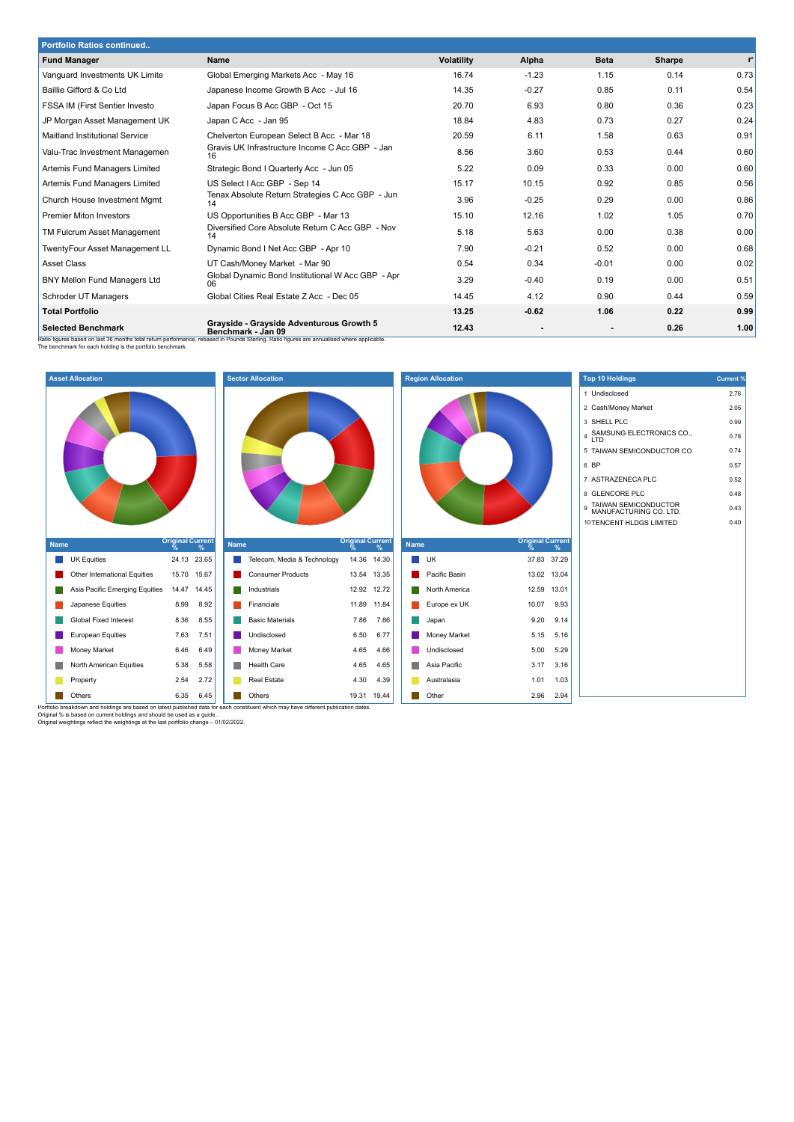| <b>Portfolio Ratios continued</b>   |                                                                                                                                                                                                              |                   |                          |             |               |       |
|-------------------------------------|--------------------------------------------------------------------------------------------------------------------------------------------------------------------------------------------------------------|-------------------|--------------------------|-------------|---------------|-------|
| <b>Fund Manager</b>                 | <b>Name</b>                                                                                                                                                                                                  | <b>Volatility</b> | Alpha                    | <b>Beta</b> | <b>Sharpe</b> | $r^2$ |
| Vanguard Investments UK Limite      | Global Emerging Markets Acc - May 16                                                                                                                                                                         | 16.74             | $-1.23$                  | 1.15        | 0.14          | 0.73  |
| Baillie Gifford & Co Ltd            | Japanese Income Growth B Acc - Jul 16                                                                                                                                                                        | 14.35             | $-0.27$                  | 0.85        | 0.11          | 0.54  |
| FSSA IM (First Sentier Investo      | Japan Focus B Acc GBP - Oct 15                                                                                                                                                                               | 20.70             | 6.93                     | 0.80        | 0.36          | 0.23  |
| JP Morgan Asset Management UK       | Japan C Acc - Jan 95                                                                                                                                                                                         | 18.84             | 4.83                     | 0.73        | 0.27          | 0.24  |
| Maitland Institutional Service      | Chelverton European Select B Acc - Mar 18                                                                                                                                                                    | 20.59             | 6.11                     | 1.58        | 0.63          | 0.91  |
| Valu-Trac Investment Managemen      | Gravis UK Infrastructure Income C Acc GBP - Jan<br>16                                                                                                                                                        | 8.56              | 3.60                     | 0.53        | 0.44          | 0.60  |
| Artemis Fund Managers Limited       | Strategic Bond I Quarterly Acc - Jun 05                                                                                                                                                                      | 5.22              | 0.09                     | 0.33        | 0.00          | 0.60  |
| Artemis Fund Managers Limited       | US Select   Acc GBP - Sep 14                                                                                                                                                                                 | 15.17             | 10.15                    | 0.92        | 0.85          | 0.56  |
| Church House Investment Mgmt        | Tenax Absolute Return Strategies C Acc GBP - Jun                                                                                                                                                             | 3.96              | $-0.25$                  | 0.29        | 0.00          | 0.86  |
| <b>Premier Miton Investors</b>      | US Opportunities B Acc GBP - Mar 13                                                                                                                                                                          | 15.10             | 12.16                    | 1.02        | 1.05          | 0.70  |
| TM Fulcrum Asset Management         | Diversified Core Absolute Return C Acc GBP - Nov<br>14                                                                                                                                                       | 5.18              | 5.63                     | 0.00        | 0.38          | 0.00  |
| TwentyFour Asset Management LL      | Dynamic Bond I Net Acc GBP - Apr 10                                                                                                                                                                          | 7.90              | $-0.21$                  | 0.52        | 0.00          | 0.68  |
| <b>Asset Class</b>                  | UT Cash/Money Market - Mar 90                                                                                                                                                                                | 0.54              | 0.34                     | $-0.01$     | 0.00          | 0.02  |
| <b>BNY Mellon Fund Managers Ltd</b> | Global Dynamic Bond Institutional W Acc GBP - Apr<br>06                                                                                                                                                      | 3.29              | $-0.40$                  | 0.19        | 0.00          | 0.51  |
| Schroder UT Managers                | Global Cities Real Estate Z Acc - Dec 05                                                                                                                                                                     | 14.45             | 4.12                     | 0.90        | 0.44          | 0.59  |
| <b>Total Portfolio</b>              |                                                                                                                                                                                                              | 13.25             | $-0.62$                  | 1.06        | 0.22          | 0.99  |
| <b>Selected Benchmark</b>           | Grayside - Grayside Adventurous Growth 5<br>Benchmark - Jan 09<br>Ratio figures based on last 36 months total return performance, rebased in Pounds Sterling. Ratio figures are annualised where applicable. | 12.43             | $\overline{\phantom{a}}$ |             | 0.26          | 1.00  |



| <b>Current %</b> |
|------------------|
| 2.76             |
| 2.05             |
| 0.99             |
| 0.78             |
| 0.74             |
| 0.57             |
| 0.52             |
| 0.48             |
| 0.43             |
| 0.40             |
|                  |
|                  |